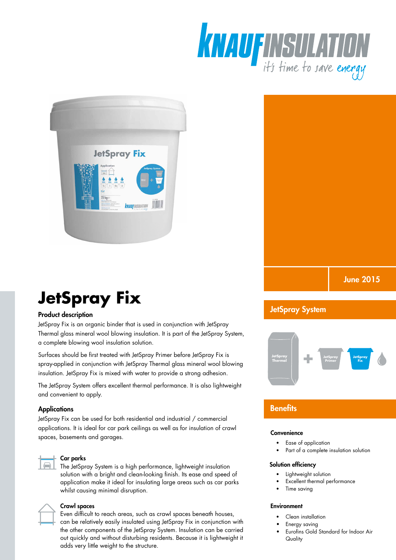





# **JetSpray Fix**

# Product description

JetSpray Fix is an organic binder that is used in conjunction with JetSpray Thermal glass mineral wool blowing insulation. It is part of the JetSpray System, a complete blowing wool insulation solution.

Surfaces should be first treated with JetSpray Primer before JetSpray Fix is spray-applied in conjunction with JetSpray Thermal glass mineral wool blowing insulation. JetSpray Fix is mixed with water to provide a strong adhesion.

The JetSpray System offers excellent thermal performance. It is also lightweight and convenient to apply.

#### **Applications**

JetSpray Fix can be used for both residential and industrial / commercial applications. It is ideal for car park ceilings as well as for insulation of crawl spaces, basements and garages.



#### Car parks

The JetSpray System is a high performance, lightweight insulation solution with a bright and clean-looking finish. Its ease and speed of application make it ideal for insulating large areas such as car parks whilst causing minimal disruption.



#### Crawl spaces

Even difficult to reach areas, such as crawl spaces beneath houses, can be relatively easily insulated using JetSpray Fix in conjunction with the other components of the JetSpray System. Insulation can be carried out quickly and without disturbing residents. Because it is lightweight it adds very little weight to the structure.

# JetSpray System



# **Benefits**

#### **Convenience**

- � Ease of application
- Part of a complete insulation solution

#### Solution efficiency

- Lightweight solution
- Excellent thermal performance
- Time saving

#### **Environment**

- Clean installation
- Energy saving
- Eurofins Gold Standard for Indoor Air **Quality**